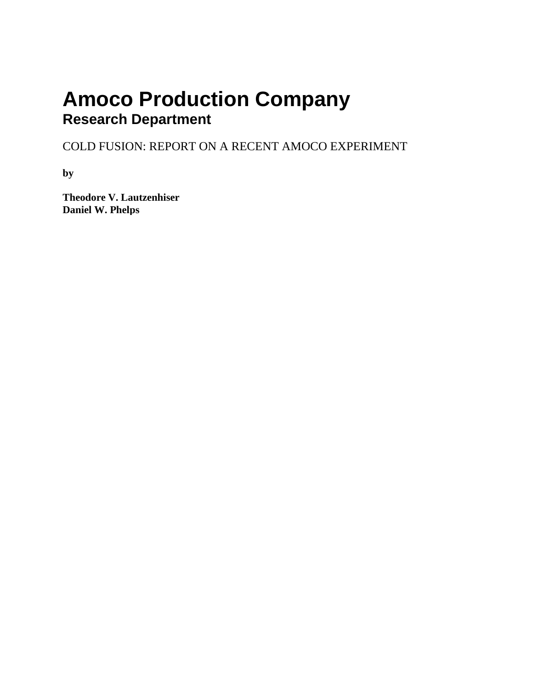# **Amoco Production Company Research Department**

COLD FUSION: REPORT ON A RECENT AMOCO EXPERIMENT

**by**

**Theodore V. Lautzenhiser Daniel W. Phelps**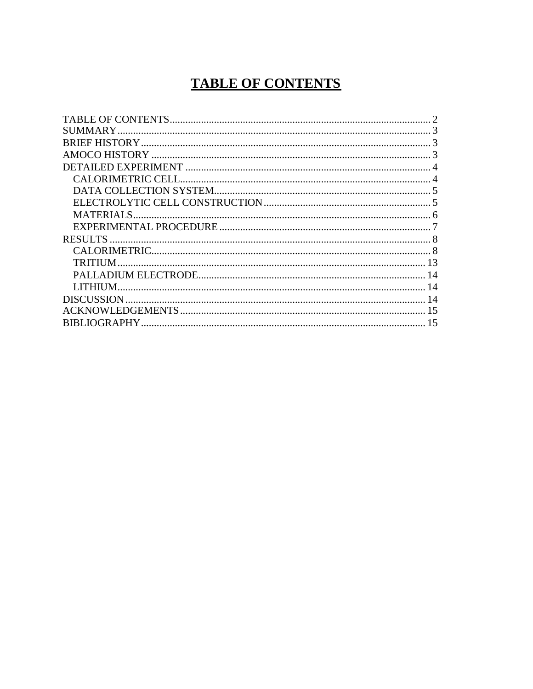# <span id="page-1-0"></span>**TABLE OF CONTENTS**

| 14 |
|----|
|    |
| 15 |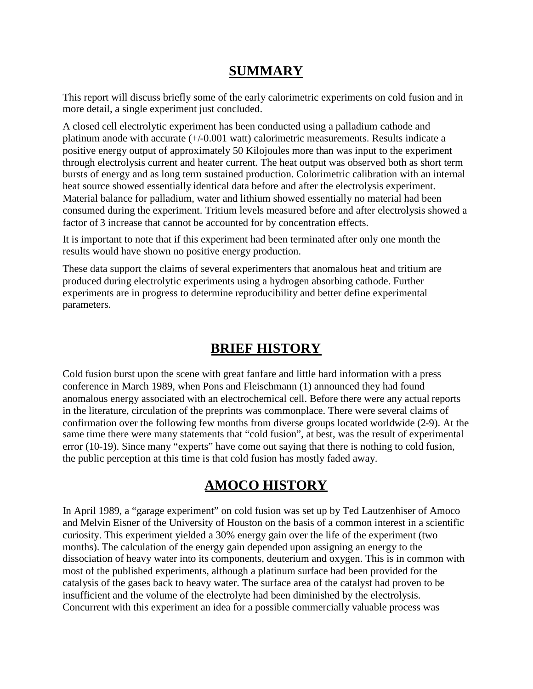### <span id="page-2-0"></span>**SUMMARY**

This report will discuss briefly some of the early calorimetric experiments on cold fusion and in more detail, a single experiment just concluded.

A closed cell electrolytic experiment has been conducted using a palladium cathode and platinum anode with accurate (+/-0.001 watt) calorimetric measurements. Results indicate a positive energy output of approximately 50 Kilojoules more than was input to the experiment through electrolysis current and heater current. The heat output was observed both as short term bursts of energy and as long term sustained production. Colorimetric calibration with an internal heat source showed essentially identical data before and after the electrolysis experiment. Material balance for palladium, water and lithium showed essentially no material had been consumed during the experiment. Tritium levels measured before and after electrolysis showed a factor of 3 increase that cannot be accounted for by concentration effects.

It is important to note that if this experiment had been terminated after only one month the results would have shown no positive energy production.

These data support the claims of several experimenters that anomalous heat and tritium are produced during electrolytic experiments using a hydrogen absorbing cathode. Further experiments are in progress to determine reproducibility and better define experimental parameters.

# <span id="page-2-1"></span>**BRIEF HISTORY**

Cold fusion burst upon the scene with great fanfare and little hard information with a press conference in March 1989, when Pons and Fleischmann (1) announced they had found anomalous energy associated with an electrochemical cell. Before there were any actual reports in the literature, circulation of the preprints was commonplace. There were several claims of confirmation over the following few months from diverse groups located worldwide (2-9). At the same time there were many statements that "cold fusion", at best, was the result of experimental error (10-19). Since many "experts" have come out saying that there is nothing to cold fusion, the public perception at this time is that cold fusion has mostly faded away.

### <span id="page-2-2"></span>**AMOCO HISTORY**

In April 1989, a "garage experiment" on cold fusion was set up by Ted Lautzenhiser of Amoco and Melvin Eisner of the University of Houston on the basis of a common interest in a scientific curiosity. This experiment yielded a 30% energy gain over the life of the experiment (two months). The calculation of the energy gain depended upon assigning an energy to the dissociation of heavy water into its components, deuterium and oxygen. This is in common with most of the published experiments, although a platinum surface had been provided for the catalysis of the gases back to heavy water. The surface area of the catalyst had proven to be insufficient and the volume of the electrolyte had been diminished by the electrolysis. Concurrent with this experiment an idea for a possible commercially valuable process was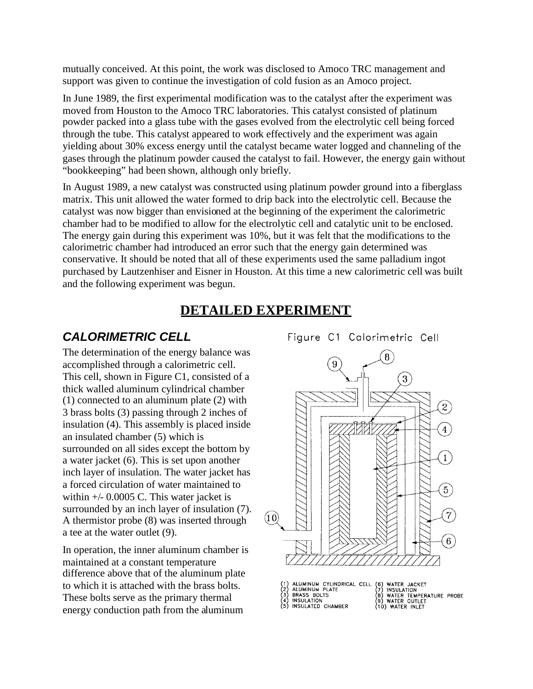mutually conceived. At this point, the work was disclosed to Amoco TRC management and support was given to continue the investigation of cold fusion as an Amoco project.

In June 1989, the first experimental modification was to the catalyst after the experiment was moved from Houston to the Amoco TRC laboratories. This catalyst consisted of platinum powder packed into a glass tube with the gases evolved from the electrolytic cell being forced through the tube. This catalyst appeared to work effectively and the experiment was again yielding about 30% excess energy until the catalyst became water logged and channeling of the gases through the platinum powder caused the catalyst to fail. However, the energy gain without "bookkeeping" had been shown, although only briefly.

In August 1989, a new catalyst was constructed using platinum powder ground into a fiberglass matrix. This unit allowed the water formed to drip back into the electrolytic cell. Because the catalyst was now bigger than envisioned at the beginning of the experiment the calorimetric chamber had to be modified to allow for the electrolytic cell and catalytic unit to be enclosed. The energy gain during this experiment was 10%, but it was felt that the modifications to the calorimetric chamber had introduced an error such that the energy gain determined was conservative. It should be noted that all of these experiments used the same palladium ingot purchased by Lautzenhiser and Eisner in Houston. At this time a new calorimetric cell was built and the following experiment was begun.

#### <span id="page-3-0"></span>**DETAILED EXPERIMENT**

#### <span id="page-3-1"></span>*CALORIMETRIC CELL*

The determination of the energy balance was accomplished through a calorimetric cell. This cell, shown in Figure C1, consisted of a thick walled aluminum cylindrical chamber (1) connected to an aluminum plate (2) with 3 brass bolts (3) passing through 2 inches of insulation (4). This assembly is placed inside an insulated chamber (5) which is surrounded on all sides except the bottom by a water jacket (6). This is set upon another inch layer of insulation. The water jacket has a forced circulation of water maintained to within  $+/- 0.0005$  C. This water jacket is surrounded by an inch layer of insulation (7).<br>A thermistor probe  $(8)$  was inserted through  $(10)$ A thermistor probe (8) was inserted through a tee at the water outlet (9).

In operation, the inner aluminum chamber is maintained at a constant temperature difference above that of the aluminum plate to which it is attached with the brass bolts. These bolts serve as the primary thermal energy conduction path from the aluminum

Figure C1 Calorimetric Cell

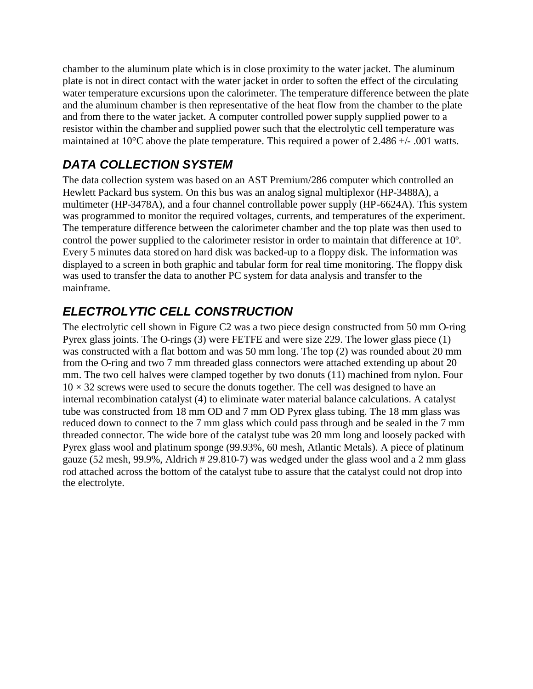chamber to the aluminum plate which is in close proximity to the water jacket. The aluminum plate is not in direct contact with the water jacket in order to soften the effect of the circulating water temperature excursions upon the calorimeter. The temperature difference between the plate and the aluminum chamber is then representative of the heat flow from the chamber to the plate and from there to the water jacket. A computer controlled power supply supplied power to a resistor within the chamber and supplied power such that the electrolytic cell temperature was maintained at 10°C above the plate temperature. This required a power of 2.486 +/- .001 watts.

# <span id="page-4-0"></span>*DATA COLLECTION SYSTEM*

The data collection system was based on an AST Premium/286 computer which controlled an Hewlett Packard bus system. On this bus was an analog signal multiplexor (HP-3488A), a multimeter (HP-3478A), and a four channel controllable power supply (HP-6624A). This system was programmed to monitor the required voltages, currents, and temperatures of the experiment. The temperature difference between the calorimeter chamber and the top plate was then used to control the power supplied to the calorimeter resistor in order to maintain that difference at 10º. Every 5 minutes data stored on hard disk was backed-up to a floppy disk. The information was displayed to a screen in both graphic and tabular form for real time monitoring. The floppy disk was used to transfer the data to another PC system for data analysis and transfer to the mainframe.

# <span id="page-4-1"></span>*ELECTROLYTIC CELL CONSTRUCTION*

The electrolytic cell shown in Figure C2 was a two piece design constructed from 50 mm O-ring Pyrex glass joints. The O-rings (3) were FETFE and were size 229. The lower glass piece (1) was constructed with a flat bottom and was 50 mm long. The top (2) was rounded about 20 mm from the O-ring and two 7 mm threaded glass connectors were attached extending up about 20 mm. The two cell halves were clamped together by two donuts (11) machined from nylon. Four  $10 \times 32$  screws were used to secure the donuts together. The cell was designed to have an internal recombination catalyst (4) to eliminate water material balance calculations. A catalyst tube was constructed from 18 mm OD and 7 mm OD Pyrex glass tubing. The 18 mm glass was reduced down to connect to the 7 mm glass which could pass through and be sealed in the 7 mm threaded connector. The wide bore of the catalyst tube was 20 mm long and loosely packed with Pyrex glass wool and platinum sponge (99.93%, 60 mesh, Atlantic Metals). A piece of platinum gauze (52 mesh, 99.9%, Aldrich # 29.810-7) was wedged under the glass wool and a 2 mm glass rod attached across the bottom of the catalyst tube to assure that the catalyst could not drop into the electrolyte.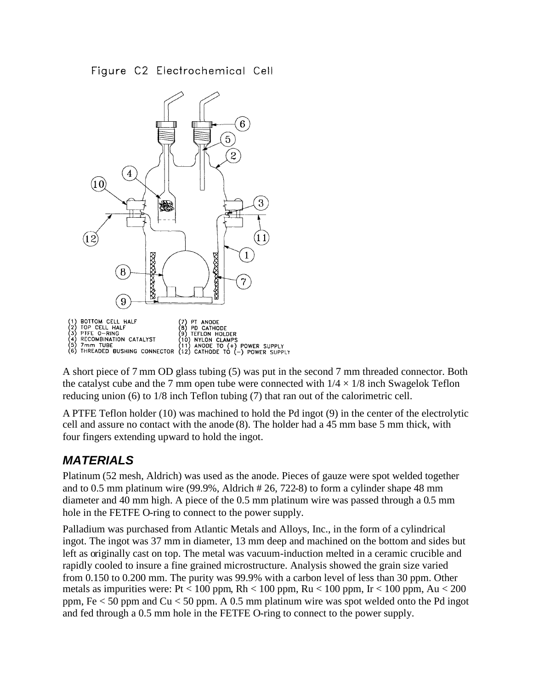Figure C2 Electrochemical Cell



A short piece of 7 mm OD glass tubing (5) was put in the second 7 mm threaded connector. Both the catalyst cube and the 7 mm open tube were connected with  $1/4 \times 1/8$  inch Swagelok Teflon reducing union (6) to 1/8 inch Teflon tubing (7) that ran out of the calorimetric cell.

A PTFE Teflon holder (10) was machined to hold the Pd ingot (9) in the center of the electrolytic cell and assure no contact with the anode (8). The holder had a 45 mm base 5 mm thick, with four fingers extending upward to hold the ingot.

### <span id="page-5-0"></span>*MATERIALS*

Platinum (52 mesh, Aldrich) was used as the anode. Pieces of gauze were spot welded together and to 0.5 mm platinum wire (99.9%, Aldrich # 26, 722-8) to form a cylinder shape 48 mm diameter and 40 mm high. A piece of the 0.5 mm platinum wire was passed through a 0.5 mm hole in the FETFE O-ring to connect to the power supply.

Palladium was purchased from Atlantic Metals and Alloys, Inc., in the form of a cylindrical ingot. The ingot was 37 mm in diameter, 13 mm deep and machined on the bottom and sides but left as originally cast on top. The metal was vacuum-induction melted in a ceramic crucible and rapidly cooled to insure a fine grained microstructure. Analysis showed the grain size varied from 0.150 to 0.200 mm. The purity was 99.9% with a carbon level of less than 30 ppm. Other metals as impurities were: Pt < 100 ppm, Rh < 100 ppm, Ru < 100 ppm, Ir < 100 ppm, Au < 200 ppm, Fe < 50 ppm and Cu < 50 ppm. A 0.5 mm platinum wire was spot welded onto the Pd ingot and fed through a 0.5 mm hole in the FETFE O-ring to connect to the power supply.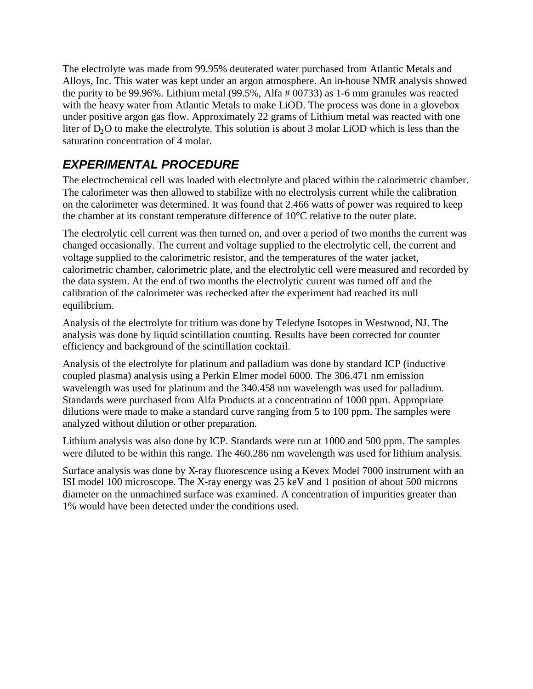The electrolyte was made from 99.95% deuterated water purchased from Atlantic Metals and Alloys, Inc. This water was kept under an argon atmosphere. An in-house NMR analysis showed the purity to be 99.96%. Lithium metal (99.5%, Alfa # 00733) as 1-6 mm granules was reacted with the heavy water from Atlantic Metals to make LiOD. The process was done in a glovebox under positive argon gas flow. Approximately 22 grams of Lithium metal was reacted with one liter of  $D_2O$  to make the electrolyte. This solution is about 3 molar LiOD which is less than the saturation concentration of 4 molar.

# <span id="page-6-0"></span>*EXPERIMENTAL PROCEDURE*

The electrochemical cell was loaded with electrolyte and placed within the calorimetric chamber. The calorimeter was then allowed to stabilize with no electrolysis current while the calibration on the calorimeter was determined. It was found that 2.466 watts of power was required to keep the chamber at its constant temperature difference of 10°C relative to the outer plate.

The electrolytic cell current was then turned on, and over a period of two months the current was changed occasionally. The current and voltage supplied to the electrolytic cell, the current and voltage supplied to the calorimetric resistor, and the temperatures of the water jacket, calorimetric chamber, calorimetric plate, and the electrolytic cell were measured and recorded by the data system. At the end of two months the electrolytic current was turned off and the calibration of the calorimeter was rechecked after the experiment had reached its null equilibrium.

Analysis of the electrolyte for tritium was done by Teledyne Isotopes in Westwood, NJ. The analysis was done by liquid scintillation counting. Results have been corrected for counter efficiency and background of the scintillation cocktail.

Analysis of the electrolyte for platinum and palladium was done by standard ICP (inductive coupled plasma) analysis using a Perkin Elmer model 6000. The 306.471 nm emission wavelength was used for platinum and the 340.458 nm wavelength was used for palladium. Standards were purchased from Alfa Products at a concentration of 1000 ppm. Appropriate dilutions were made to make a standard curve ranging from 5 to 100 ppm. The samples were analyzed without dilution or other preparation.

Lithium analysis was also done by ICP. Standards were run at 1000 and 500 ppm. The samples were diluted to be within this range. The 460.286 nm wavelength was used for lithium analysis.

Surface analysis was done by X-ray fluorescence using a Kevex Model 7000 instrument with an ISI model 100 microscope. The X-ray energy was 25 keV and 1 position of about 500 microns diameter on the unmachined surface was examined. A concentration of impurities greater than 1% would have been detected under the conditions used.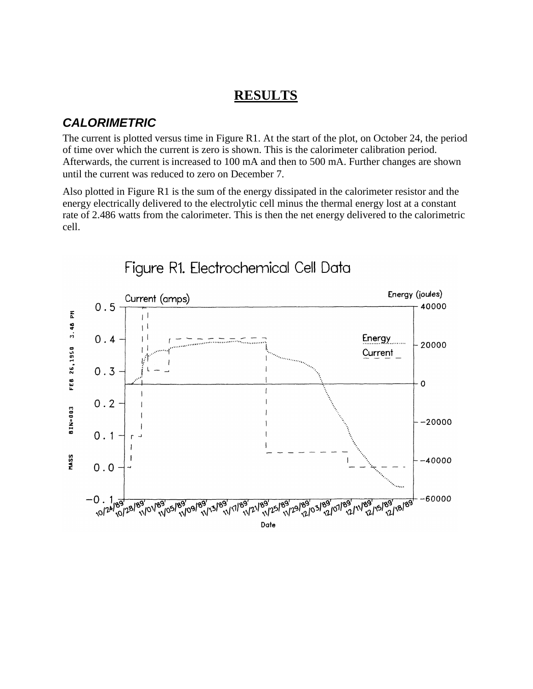#### <span id="page-7-0"></span>**RESULTS**

#### <span id="page-7-1"></span>*CALORIMETRIC*

The current is plotted versus time in Figure R1. At the start of the plot, on October 24, the period of time over which the current is zero is shown. This is the calorimeter calibration period. Afterwards, the current is increased to 100 mA and then to 500 mA. Further changes are shown until the current was reduced to zero on December 7.

Also plotted in Figure R1 is the sum of the energy dissipated in the calorimeter resistor and the energy electrically delivered to the electrolytic cell minus the thermal energy lost at a constant rate of 2.486 watts from the calorimeter. This is then the net energy delivered to the calorimetric cell.



Figure R1. Electrochemical Cell Data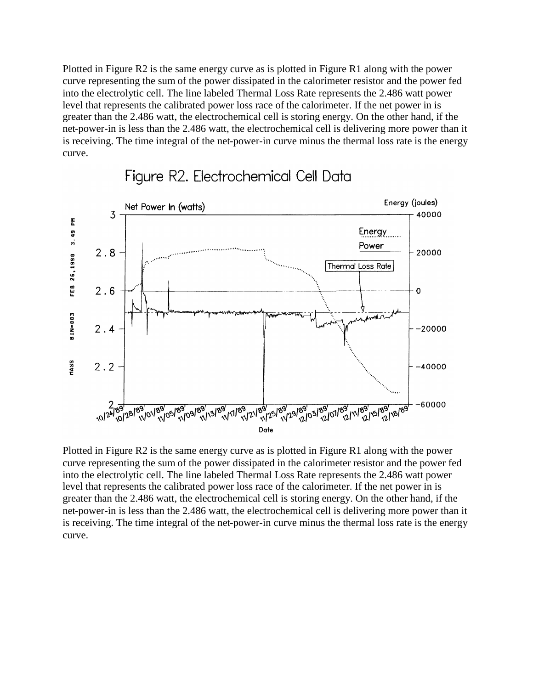Plotted in Figure R2 is the same energy curve as is plotted in Figure R1 along with the power curve representing the sum of the power dissipated in the calorimeter resistor and the power fed into the electrolytic cell. The line labeled Thermal Loss Rate represents the 2.486 watt power level that represents the calibrated power loss race of the calorimeter. If the net power in is greater than the 2.486 watt, the electrochemical cell is storing energy. On the other hand, if the net-power-in is less than the 2.486 watt, the electrochemical cell is delivering more power than it is receiving. The time integral of the net-power-in curve minus the thermal loss rate is the energy curve.



### Figure R2. Electrochemical Cell Data

Plotted in Figure R2 is the same energy curve as is plotted in Figure R1 along with the power curve representing the sum of the power dissipated in the calorimeter resistor and the power fed into the electrolytic cell. The line labeled Thermal Loss Rate represents the 2.486 watt power level that represents the calibrated power loss race of the calorimeter. If the net power in is greater than the 2.486 watt, the electrochemical cell is storing energy. On the other hand, if the net-power-in is less than the 2.486 watt, the electrochemical cell is delivering more power than it is receiving. The time integral of the net-power-in curve minus the thermal loss rate is the energy curve.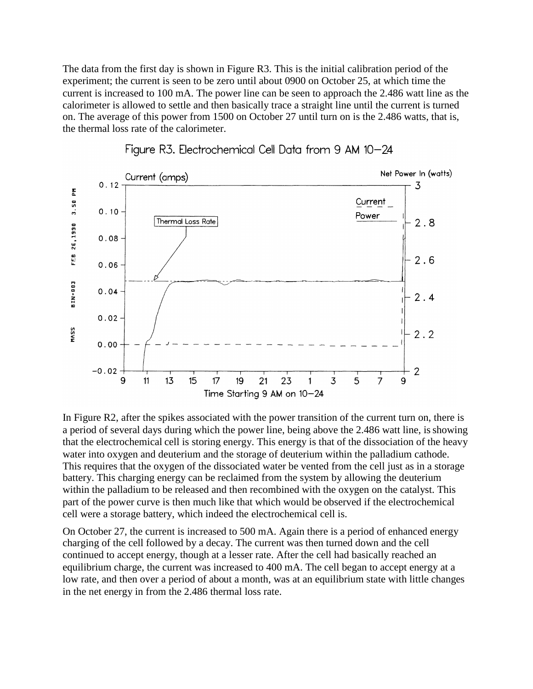The data from the first day is shown in Figure R3. This is the initial calibration period of the experiment; the current is seen to be zero until about 0900 on October 25, at which time the current is increased to 100 mA. The power line can be seen to approach the 2.486 watt line as the calorimeter is allowed to settle and then basically trace a straight line until the current is turned on. The average of this power from 1500 on October 27 until turn on is the 2.486 watts, that is, the thermal loss rate of the calorimeter.





In Figure R2, after the spikes associated with the power transition of the current turn on, there is a period of several days during which the power line, being above the 2.486 watt line, isshowing that the electrochemical cell is storing energy. This energy is that of the dissociation of the heavy water into oxygen and deuterium and the storage of deuterium within the palladium cathode. This requires that the oxygen of the dissociated water be vented from the cell just as in a storage battery. This charging energy can be reclaimed from the system by allowing the deuterium within the palladium to be released and then recombined with the oxygen on the catalyst. This part of the power curve is then much like that which would be observed if the electrochemical cell were a storage battery, which indeed the electrochemical cell is.

On October 27, the current is increased to 500 mA. Again there is a period of enhanced energy charging of the cell followed by a decay. The current was then turned down and the cell continued to accept energy, though at a lesser rate. After the cell had basically reached an equilibrium charge, the current was increased to 400 mA. The cell began to accept energy at a low rate, and then over a period of about a month, was at an equilibrium state with little changes in the net energy in from the 2.486 thermal loss rate.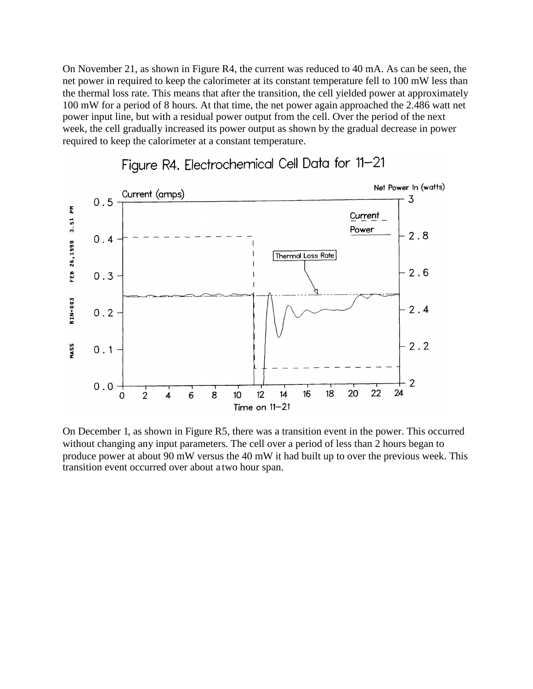On November 21, as shown in Figure R4, the current was reduced to 40 mA. As can be seen, the net power in required to keep the calorimeter at its constant temperature fell to 100 mW less than the thermal loss rate. This means that after the transition, the cell yielded power at approximately 100 mW for a period of 8 hours. At that time, the net power again approached the 2.486 watt net power input line, but with a residual power output from the cell. Over the period of the next week, the cell gradually increased its power output as shown by the gradual decrease in power required to keep the calorimeter at a constant temperature.



# Figure R4. Electrochemical Cell Data for 11-21

On December 1, as shown in Figure R5, there was a transition event in the power. This occurred without changing any input parameters. The cell over a period of less than 2 hours began to produce power at about 90 mW versus the 40 mW it had built up to over the previous week. This transition event occurred over about a two hour span.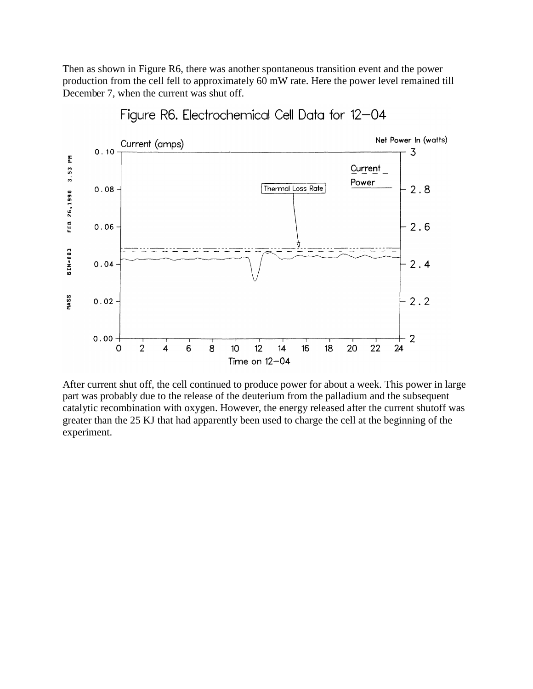Then as shown in Figure R6, there was another spontaneous transition event and the power production from the cell fell to approximately 60 mW rate. Here the power level remained till December 7, when the current was shut off.



Figure R6. Electrochemical Cell Data for 12-04

After current shut off, the cell continued to produce power for about a week. This power in large part was probably due to the release of the deuterium from the palladium and the subsequent catalytic recombination with oxygen. However, the energy released after the current shutoff was greater than the 25 KJ that had apparently been used to charge the cell at the beginning of the experiment.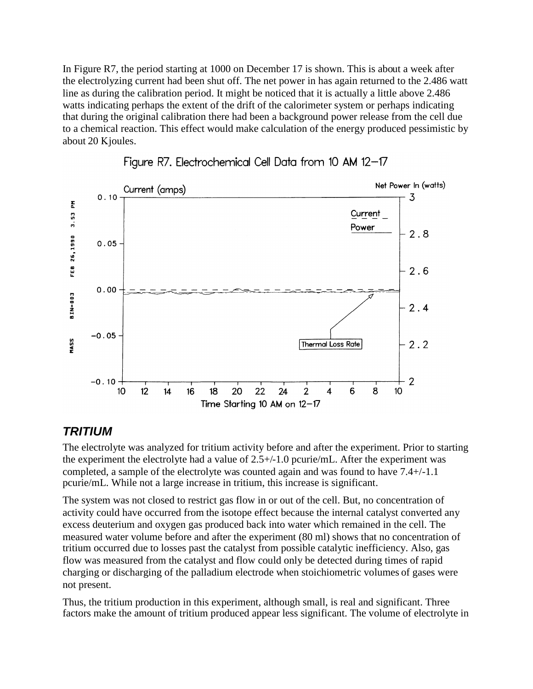In Figure R7, the period starting at 1000 on December 17 is shown. This is about a week after the electrolyzing current had been shut off. The net power in has again returned to the 2.486 watt line as during the calibration period. It might be noticed that it is actually a little above 2.486 watts indicating perhaps the extent of the drift of the calorimeter system or perhaps indicating that during the original calibration there had been a background power release from the cell due to a chemical reaction. This effect would make calculation of the energy produced pessimistic by about 20 Κjoules.





#### <span id="page-12-0"></span>*TRITIUM*

The electrolyte was analyzed for tritium activity before and after the experiment. Prior to starting the experiment the electrolyte had a value of 2.5+/-1.0 pcurie/mL. After the experiment was completed, a sample of the electrolyte was counted again and was found to have 7.4+/-1.1 pcurie/mL. While not a large increase in tritium, this increase is significant.

The system was not closed to restrict gas flow in or out of the cell. But, no concentration of activity could have occurred from the isotope effect because the internal catalyst converted any excess deuterium and oxygen gas produced back into water which remained in the cell. The measured water volume before and after the experiment (80 ml) shows that no concentration of tritium occurred due to losses past the catalyst from possible catalytic inefficiency. Also, gas flow was measured from the catalyst and flow could only be detected during times of rapid charging or discharging of the palladium electrode when stoichiometric volumes of gases were not present.

Thus, the tritium production in this experiment, although small, is real and significant. Three factors make the amount of tritium produced appear less significant. The volume of electrolyte in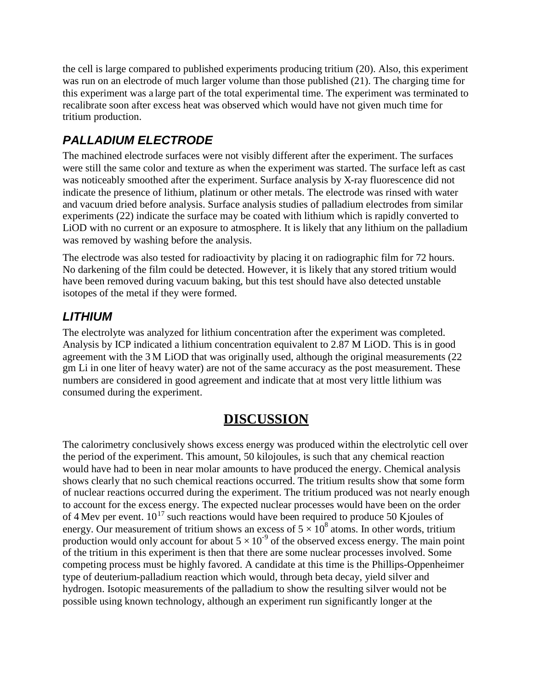the cell is large compared to published experiments producing tritium (20). Also, this experiment was run on an electrode of much larger volume than those published (21). The charging time for this experiment was a large part of the total experimental time. The experiment was terminated to recalibrate soon after excess heat was observed which would have not given much time for tritium production.

# <span id="page-13-0"></span>*PALLADIUM ELECTRODE*

The machined electrode surfaces were not visibly different after the experiment. The surfaces were still the same color and texture as when the experiment was started. The surface left as cast was noticeably smoothed after the experiment. Surface analysis by X-ray fluorescence did not indicate the presence of lithium, platinum or other metals. The electrode was rinsed with water and vacuum dried before analysis. Surface analysis studies of palladium electrodes from similar experiments (22) indicate the surface may be coated with lithium which is rapidly converted to LiOD with no current or an exposure to atmosphere. It is likely that any lithium on the palladium was removed by washing before the analysis.

The electrode was also tested for radioactivity by placing it on radiographic film for 72 hours. No darkening of the film could be detected. However, it is likely that any stored tritium would have been removed during vacuum baking, but this test should have also detected unstable isotopes of the metal if they were formed.

# <span id="page-13-1"></span>*LITHIUM*

The electrolyte was analyzed for lithium concentration after the experiment was completed. Analysis by ICP indicated a lithium concentration equivalent to 2.87 M LiOD. This is in good agreement with the 3 ΜLiOD that was originally used, although the original measurements (22 gm Li in one liter of heavy water) are not of the same accuracy as the post measurement. These numbers are considered in good agreement and indicate that at most very little lithium was consumed during the experiment.

# <span id="page-13-2"></span>**DISCUSSION**

The calorimetry conclusively shows excess energy was produced within the electrolytic cell over the period of the experiment. This amount, 50 kilojoules, is such that any chemical reaction would have had to been in near molar amounts to have produced the energy. Chemical analysis shows clearly that no such chemical reactions occurred. The tritium results show that some form of nuclear reactions occurred during the experiment. The tritium produced was not nearly enough to account for the excess energy. The expected nuclear processes would have been on the order of 4 Mev per event.  $10^{17}$  such reactions would have been required to produce 50 Kjoules of energy. Our measurement of tritium shows an excess of  $5 \times 10^8$  atoms. In other words, tritium production would only account for about  $5 \times 10^{-9}$  of the observed excess energy. The main point of the tritium in this experiment is then that there are some nuclear processes involved. Some competing process must be highly favored. A candidate at this time is the Phillips-Oppenheimer type of deuterium-palladium reaction which would, through beta decay, yield silver and hydrogen. Isotopic measurements of the palladium to show the resulting silver would not be possible using known technology, although an experiment run significantly longer at the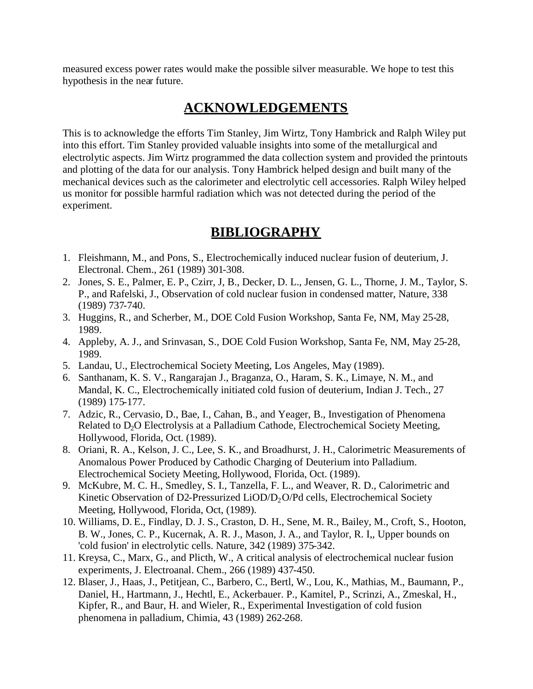measured excess power rates would make the possible silver measurable. We hope to test this hypothesis in the near future.

### <span id="page-14-0"></span>**ACKNOWLEDGEMENTS**

This is to acknowledge the efforts Tim Stanley, Jim Wirtz, Tony Hambrick and Ralph Wiley put into this effort. Tim Stanley provided valuable insights into some of the metallurgical and electrolytic aspects. Jim Wirtz programmed the data collection system and provided the printouts and plotting of the data for our analysis. Tony Hambrick helped design and built many of the mechanical devices such as the calorimeter and electrolytic cell accessories. Ralph Wiley helped us monitor for possible harmful radiation which was not detected during the period of the experiment.

### <span id="page-14-1"></span>**BIBLIOGRAPHY**

- 1. Fleishmann, M., and Pons, S., Electrochemically induced nuclear fusion of deuterium, J. Electronal. Chem., 261 (1989) 301-308.
- 2. Jones, S. E., Palmer, E. P., Czirr, J, B., Decker, D. L., Jensen, G. L., Thorne, J. M., Taylor, S. P., and Rafelski, J., Observation of cold nuclear fusion in condensed matter, Nature, 338 (1989) 737-740.
- 3. Huggins, R., and Scherber, M., DOE Cold Fusion Workshop, Santa Fe, NM, May 25-28, 1989.
- 4. Appleby, A. J., and Srinvasan, S., DOE Cold Fusion Workshop, Santa Fe, NM, May 25-28, 1989.
- 5. Landau, U., Electrochemical Society Meeting, Los Angeles, May (1989).
- 6. Santhanam, K. S. V., Rangarajan J., Braganza, O., Haram, S. K., Limaye, N. M., and Mandal, K. C., Electrochemically initiated cold fusion of deuterium, Indian J. Tech., 27 (1989) 175-177.
- 7. Adzic, R., Cervasio, D., Bae, I., Cahan, B., and Yeager, B., Investigation of Phenomena Related to D<sub>2</sub>O Electrolysis at a Palladium Cathode, Electrochemical Society Meeting, Hollywood, Florida, Oct. (1989).
- 8. Oriani, R. A., Kelson, J. C., Lee, S. K., and Broadhurst, J. H., Calorimetric Measurements of Anomalous Power Produced by Cathodic Charging of Deuterium into Palladium. Electrochemical Society Meeting, Hollywood, Florida, Oct. (1989).
- 9. McKubre, M. C. H., Smedley, S. I., Tanzella, F. L., and Weaver, R. D., Calorimetric and Kinetic Observation of D2-Pressurized LiOD/D<sub>2</sub>O/Pd cells, Electrochemical Society Meeting, Hollywood, Florida, Oct, (1989).
- 10. Williams, D. E., Findlay, D. J. S., Craston, D. H., Sene, M. R., Bailey, M., Croft, S., Hooton, B. W., Jones, C. P., Kucernak, A. R. J., Mason, J. A., and Taylor, R. I,, Upper bounds on 'cold fusion' in electrolytic cells. Nature, 342 (1989) 375-342.
- 11. Kreysa, C., Marx, G., and Plicth, W., A critical analysis of electrochemical nuclear fusion experiments, J. Electroanal. Chem., 266 (1989) 437-450.
- 12. Blaser, J., Haas, J., Petitjean, C., Barbero, C., Bertl, W., Lou, K., Mathias, M., Baumann, P., Daniel, H., Hartmann, J., Hechtl, E., Ackerbauer. P., Kamitel, P., Scrinzi, A., Zmeskal, H., Kipfer, R., and Baur, H. and Wieler, R., Experimental Investigation of cold fusion phenomena in palladium, Chimia, 43 (1989) 262-268.